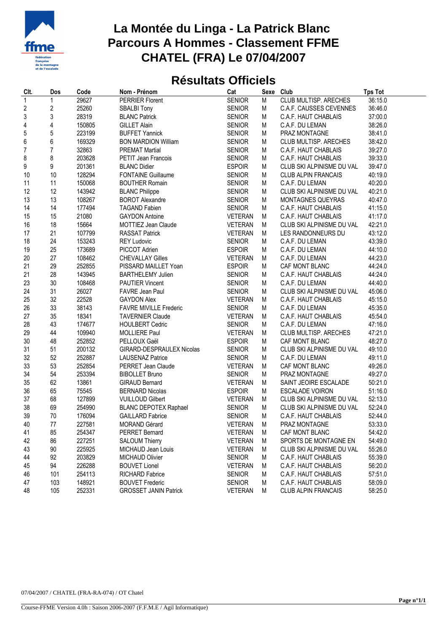

## **La Montée du Linga - La Patrick Blanc Parcours A Hommes - Classement FFME CHATEL (FRA) Le 07/04/2007**

## **Résultats Officiels**

| Clt.             | Dos            | Code   | Nom - Prénom                  | Cat            | Sexe | Club                         | <b>Tps Tot</b> |
|------------------|----------------|--------|-------------------------------|----------------|------|------------------------------|----------------|
| $\mathbf{1}$     | 1              | 29627  | <b>PERRIER Florent</b>        | <b>SENIOR</b>  | M    | <b>CLUB MULTISP. ARECHES</b> | 36:15.0        |
| $\boldsymbol{2}$ | 2              | 25260  | <b>SBALBI Tony</b>            | <b>SENIOR</b>  | Μ    | C.A.F. CAUSSES CEVENNES      | 36:46.0        |
| 3                | 3              | 28319  | <b>BLANC Patrick</b>          | <b>SENIOR</b>  | M    | C.A.F. HAUT CHABLAIS         | 37:00.0        |
| 4                | 4              | 150805 | <b>GILLET Alain</b>           | <b>SENIOR</b>  | Μ    | C.A.F. DU LEMAN              | 38:26.0        |
| 5                | 5              | 223199 | <b>BUFFET Yannick</b>         | <b>SENIOR</b>  | М    | PRAZ MONTAGNE                | 38:41.0        |
| 6                | 6              | 169329 | <b>BON MARDION William</b>    | <b>SENIOR</b>  | M    | CLUB MULTISP. ARECHES        | 38:42.0        |
| 7                | $\overline{7}$ | 32863  | <b>PREMAT Martial</b>         | <b>SENIOR</b>  | Μ    | C.A.F. HAUT CHABLAIS         | 39:27.0        |
| 8                | 8              | 203628 | PETIT Jean Francois           | <b>SENIOR</b>  | М    | C.A.F. HAUT CHABLAIS         | 39:33.0        |
| 9                | 9              | 201361 | <b>BLANC Didier</b>           | <b>ESPOIR</b>  | M    | CLUB SKI ALPINISME DU VAL    | 39:47.0        |
| 10               | 10             | 128294 | <b>FONTAINE Guillaume</b>     | <b>SENIOR</b>  | Μ    | <b>CLUB ALPIN FRANCAIS</b>   | 40:19.0        |
| 11               | 11             | 150068 | <b>BOUTHER Romain</b>         | <b>SENIOR</b>  | Μ    | C.A.F. DU LEMAN              | 40:20.0        |
| 12               | 12             | 143942 | <b>BLANC Philippe</b>         | <b>SENIOR</b>  | M    | CLUB SKI ALPINISME DU VAL    | 40:21.0        |
| 13               | 13             | 108267 | <b>BOROT Alexandre</b>        | <b>SENIOR</b>  | Μ    | MONTAGNES QUEYRAS            | 40:47.0        |
| 14               | 14             | 177494 | <b>TAGAND Fabien</b>          | <b>SENIOR</b>  | М    | C.A.F. HAUT CHABLAIS         | 41:15.0        |
| 15               | 15             | 21080  | <b>GAYDON Antoine</b>         | <b>VETERAN</b> | Μ    | C.A.F. HAUT CHABLAIS         | 41:17.0        |
| 16               | 18             | 15664  | MOTTIEZ Jean Claude           | <b>VETERAN</b> | Μ    | CLUB SKI ALPINISME DU VAL    | 42:21.0        |
| 17               | 21             | 107799 | <b>RASSAT Patrick</b>         | <b>VETERAN</b> | Μ    | LES RANDONNEURS DU           | 43:12.0        |
| 18               | 24             | 153243 | <b>REY Ludovic</b>            | <b>SENIOR</b>  | M    | C.A.F. DU LEMAN              | 43:39.0        |
| 19               | 25             | 173689 | PICCOT Adrien                 | <b>ESPOIR</b>  | M    | C.A.F. DU LEMAN              | 44:10.0        |
| 20               | 27             | 108462 | <b>CHEVALLAY Gilles</b>       | <b>VETERAN</b> | Μ    | C.A.F. DU LEMAN              | 44:23.0        |
| 21               | 29             | 252855 | PISSARD MAILLET Yoan          | <b>ESPOIR</b>  | М    | CAF MONT BLANC               | 44:24.0        |
| 21               | 28             | 143945 | <b>BARTHELEMY Julien</b>      | <b>SENIOR</b>  | M    | C.A.F. HAUT CHABLAIS         | 44:24.0        |
| 23               | 30             | 108468 | <b>PAUTIER Vincent</b>        | <b>SENIOR</b>  | Μ    | C.A.F. DU LEMAN              | 44:40.0        |
| 24               | 31             | 26027  | FAVRE Jean Paul               | <b>SENIOR</b>  | Μ    | CLUB SKI ALPINISME DU VAL    | 45:06.0        |
| 25               | 32             | 22528  | <b>GAYDON Alex</b>            | <b>VETERAN</b> | M    | C.A.F. HAUT CHABLAIS         | 45:15.0        |
| 26               | 33             | 38143  | <b>FAVRE MIVILLE Frederic</b> | <b>SENIOR</b>  | Μ    | C.A.F. DU LEMAN              | 45:35.0        |
| 27               | 35             | 18341  | <b>TAVERNIER Claude</b>       | VETERAN        | М    | C.A.F. HAUT CHABLAIS         | 45:54.0        |
| 28               | 43             | 174677 | <b>HOULBERT Cedric</b>        | <b>SENIOR</b>  | М    | C.A.F. DU LEMAN              | 47:16.0        |
| 29               | 44             | 109940 | <b>MOLLIERE Paul</b>          | <b>VETERAN</b> | Μ    | <b>CLUB MULTISP. ARECHES</b> | 47:21.0        |
| 30               | 48             | 252852 | PELLOUX Gaël                  | <b>ESPOIR</b>  | Μ    | CAF MONT BLANC               | 48:27.0        |
| 31               | 51             | 200132 | GIRARD-DESPRAULEX Nicolas     | <b>SENIOR</b>  | М    | CLUB SKI ALPINISME DU VAL    | 49:10.0        |
| 32               | 52             | 252887 | <b>LAUSENAZ Patrice</b>       | <b>SENIOR</b>  | Μ    | C.A.F. DU LEMAN              | 49:11.0        |
| 33               | 53             | 252854 | PERRET Jean Claude            | <b>VETERAN</b> | Μ    | CAF MONT BLANC               | 49:26.0        |
| 34               | 54             | 253394 | <b>BIBOLLET Bruno</b>         | <b>SENIOR</b>  | М    | PRAZ MONTAGNE                | 49:27.0        |
| 35               | 62             | 13861  | <b>GIRAUD Bernard</b>         | <b>VETERAN</b> | М    | SAINT JEOIRE ESCALADE        | 50:21.0        |
| 36               | 65             | 75545  | <b>BERNARD Nicolas</b>        | <b>ESPOIR</b>  | Μ    | <b>ESCALADE VOIRON</b>       | 51:16.0        |
| 37               | 68             | 127899 | <b>VUILLOUD Gilbert</b>       | <b>VETERAN</b> | Μ    | CLUB SKI ALPINISME DU VAL    | 52:13.0        |
| 38               | 69             | 254990 | <b>BLANC DEPOTEX Raphael</b>  | <b>SENIOR</b>  | Μ    | CLUB SKI ALPINISME DU VAL    | 52:24.0        |
| 39               | 70             | 176094 | <b>GAILLARD Fabrice</b>       | <b>SENIOR</b>  | M    | C.A.F. HAUT CHABLAIS         | 52:44.0        |
| 40               | 77             | 227581 | MORAND Gérard                 | VETERAN        | M    | PRAZ MONTAGNE                | 53:33.0        |
| 41               | 85             | 254347 | <b>PERRET Bernard</b>         | <b>VETERAN</b> | M    | CAF MONT BLANC               | 54:42.0        |
| 42               | 86             | 227251 | <b>SALOUM Thierry</b>         | <b>VETERAN</b> | M    | SPORTS DE MONTAGNE EN        | 54:49.0        |
| 43               | 90             | 225925 | MICHAUD Jean Louis            | VETERAN        | M    | CLUB SKI ALPINISME DU VAL    | 55:26.0        |
| 44               | 92             | 203829 | MICHAUD Olivier               | <b>SENIOR</b>  | M    | C.A.F. HAUT CHABLAIS         | 55:39.0        |
| 45               | 94             | 226288 | <b>BOUVET Lionel</b>          | <b>VETERAN</b> | М    | C.A.F. HAUT CHABLAIS         | 56:20.0        |
| 46               | 101            | 254113 | <b>RICHARD Fabrice</b>        | <b>SENIOR</b>  | М    | C.A.F. HAUT CHABLAIS         | 57:51.0        |
| 47               | 103            | 148921 | <b>BOUVET Frederic</b>        | <b>SENIOR</b>  | M    | C.A.F. HAUT CHABLAIS         | 58:09.0        |
| 48               | 105            | 252331 | <b>GROSSET JANIN Patrick</b>  | <b>VETERAN</b> | M    | CLUB ALPIN FRANCAIS          | 58:25.0        |